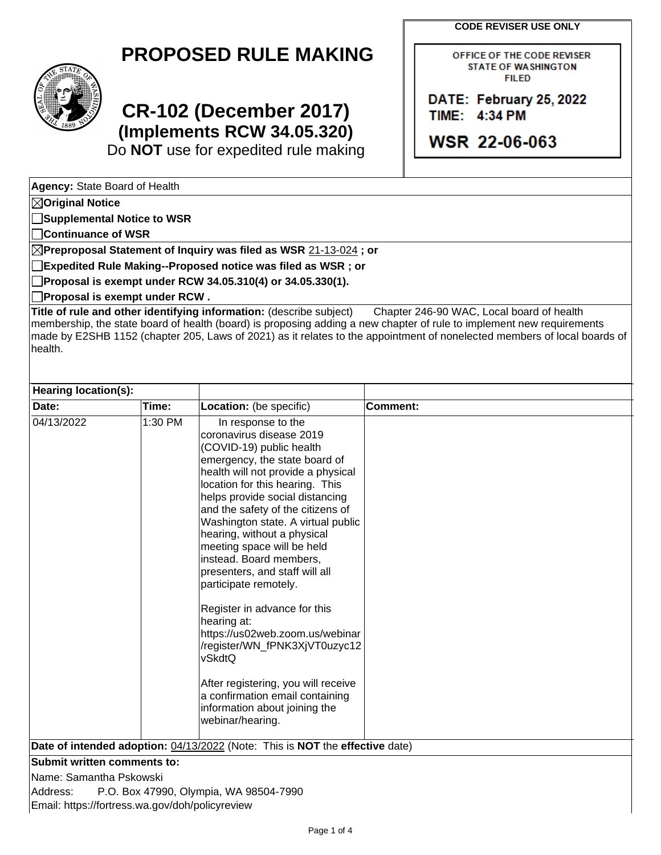**CODE REVISER USE ONLY**



# **PROPOSED RULE MAKING**

# **CR-102 (December 2017) (Implements RCW 34.05.320)**

Do **NOT** use for expedited rule making

OFFICE OF THE CODE REVISER **STATE OF WASHINGTON FILED** 

DATE: February 25, 2022 TIME: 4:34 PM

WSR 22-06-063

**Agency:** State Board of Health

**Original Notice**

**Supplemental Notice to WSR**

**Continuance of WSR**

**Preproposal Statement of Inquiry was filed as WSR** 21-13-024 **; or**

**Expedited Rule Making--Proposed notice was filed as WSR ; or**

**Proposal is exempt under RCW 34.05.310(4) or 34.05.330(1).**

**Proposal is exempt under RCW .**

**Title of rule and other identifying information:** (describe subject) Chapter 246-90 WAC, Local board of health membership, the state board of health (board) is proposing adding a new chapter of rule to implement new requirements made by E2SHB 1152 (chapter 205, Laws of 2021) as it relates to the appointment of nonelected members of local boards of health.

| Hearing location(s):                                                         |                                        |                                                                                                                                                                                                                                                                                                                                                                                                                                                                                                                                                                                                                                                                                          |          |  |  |  |  |
|------------------------------------------------------------------------------|----------------------------------------|------------------------------------------------------------------------------------------------------------------------------------------------------------------------------------------------------------------------------------------------------------------------------------------------------------------------------------------------------------------------------------------------------------------------------------------------------------------------------------------------------------------------------------------------------------------------------------------------------------------------------------------------------------------------------------------|----------|--|--|--|--|
| Date:                                                                        | Time:                                  | Location: (be specific)                                                                                                                                                                                                                                                                                                                                                                                                                                                                                                                                                                                                                                                                  | Comment: |  |  |  |  |
| 04/13/2022<br>1:30 PM<br>hearing at:<br>vSkdtQ                               |                                        | In response to the<br>coronavirus disease 2019<br>(COVID-19) public health<br>emergency, the state board of<br>health will not provide a physical<br>location for this hearing. This<br>helps provide social distancing<br>and the safety of the citizens of<br>Washington state. A virtual public<br>hearing, without a physical<br>meeting space will be held<br>instead. Board members,<br>presenters, and staff will all<br>participate remotely.<br>Register in advance for this<br>https://us02web.zoom.us/webinar<br>/register/WN_fPNK3XjVT0uzyc12<br>After registering, you will receive<br>a confirmation email containing<br>information about joining the<br>webinar/hearing. |          |  |  |  |  |
| Date of intended adoption: 04/13/2022 (Note: This is NOT the effective date) |                                        |                                                                                                                                                                                                                                                                                                                                                                                                                                                                                                                                                                                                                                                                                          |          |  |  |  |  |
| Submit written comments to:                                                  |                                        |                                                                                                                                                                                                                                                                                                                                                                                                                                                                                                                                                                                                                                                                                          |          |  |  |  |  |
| Name: Samantha Pskowski                                                      |                                        |                                                                                                                                                                                                                                                                                                                                                                                                                                                                                                                                                                                                                                                                                          |          |  |  |  |  |
| Address:                                                                     | P.O. Box 47990, Olympia, WA 98504-7990 |                                                                                                                                                                                                                                                                                                                                                                                                                                                                                                                                                                                                                                                                                          |          |  |  |  |  |
| Email: https://fortress.wa.gov/doh/policyreview                              |                                        |                                                                                                                                                                                                                                                                                                                                                                                                                                                                                                                                                                                                                                                                                          |          |  |  |  |  |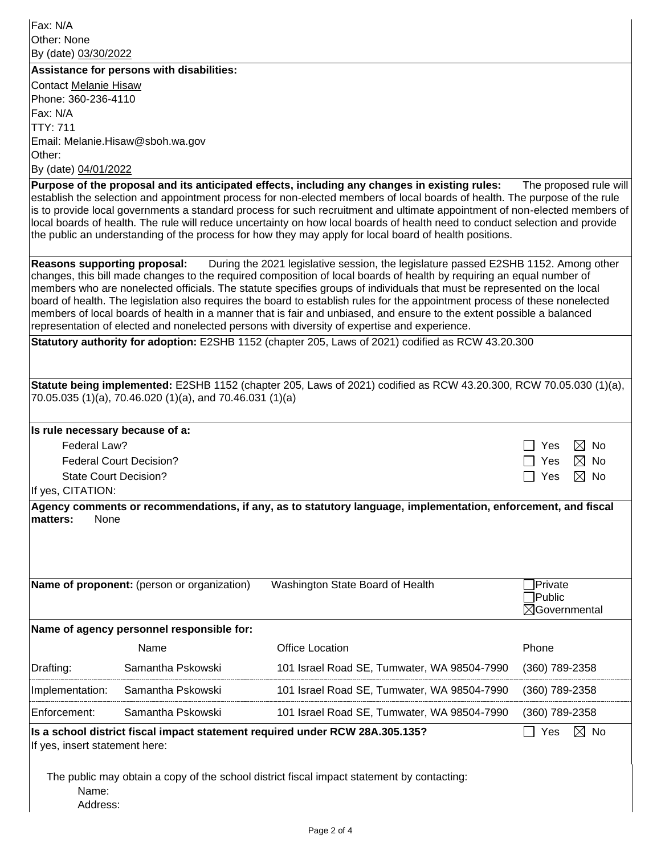Fax: N/A Other: None By (date) 03/30/2022

**Assistance for persons with disabilities:**

Contact Melanie Hisaw Phone: 360-236-4110 Fax: N/A TTY: 711 Email: Melanie.Hisaw@sboh.wa.gov Other: By (date) 04/01/2022

**Purpose of the proposal and its anticipated effects, including any changes in existing rules:** The proposed rule will establish the selection and appointment process for non-elected members of local boards of health. The purpose of the rule is to provide local governments a standard process for such recruitment and ultimate appointment of non-elected members of local boards of health. The rule will reduce uncertainty on how local boards of health need to conduct selection and provide the public an understanding of the process for how they may apply for local board of health positions.

**Reasons supporting proposal:** During the 2021 legislative session, the legislature passed E2SHB 1152. Among other changes, this bill made changes to the required composition of local boards of health by requiring an equal number of members who are nonelected officials. The statute specifies groups of individuals that must be represented on the local board of health. The legislation also requires the board to establish rules for the appointment process of these nonelected members of local boards of health in a manner that is fair and unbiased, and ensure to the extent possible a balanced representation of elected and nonelected persons with diversity of expertise and experience.

**Statutory authority for adoption:** E2SHB 1152 (chapter 205, Laws of 2021) codified as RCW 43.20.300

| Statute being implemented: E2SHB 1152 (chapter 205, Laws of 2021) codified as RCW 43.20.300, RCW 70.05.030 (1)(a),<br>70.05.035 (1)(a), 70.46.020 (1)(a), and 70.46.031 (1)(a) |                                             |                                                                                                               |                          |  |  |  |
|--------------------------------------------------------------------------------------------------------------------------------------------------------------------------------|---------------------------------------------|---------------------------------------------------------------------------------------------------------------|--------------------------|--|--|--|
|                                                                                                                                                                                |                                             |                                                                                                               |                          |  |  |  |
| Is rule necessary because of a:                                                                                                                                                |                                             |                                                                                                               |                          |  |  |  |
| Federal Law?                                                                                                                                                                   | $\bowtie$<br>No.<br><b>Yes</b>              |                                                                                                               |                          |  |  |  |
| <b>Federal Court Decision?</b>                                                                                                                                                 | ⊠<br>Yes<br><b>No</b>                       |                                                                                                               |                          |  |  |  |
| <b>State Court Decision?</b>                                                                                                                                                   |                                             |                                                                                                               | $\boxtimes$ No<br>Yes    |  |  |  |
| If yes, CITATION:                                                                                                                                                              |                                             |                                                                                                               |                          |  |  |  |
| matters:<br>None                                                                                                                                                               |                                             | Agency comments or recommendations, if any, as to statutory language, implementation, enforcement, and fiscal |                          |  |  |  |
|                                                                                                                                                                                |                                             |                                                                                                               |                          |  |  |  |
|                                                                                                                                                                                |                                             |                                                                                                               |                          |  |  |  |
|                                                                                                                                                                                |                                             |                                                                                                               |                          |  |  |  |
|                                                                                                                                                                                | Name of proponent: (person or organization) | Washington State Board of Health                                                                              | Private                  |  |  |  |
|                                                                                                                                                                                |                                             |                                                                                                               | <b>Public</b>            |  |  |  |
|                                                                                                                                                                                |                                             |                                                                                                               | $\boxtimes$ Governmental |  |  |  |
|                                                                                                                                                                                | Name of agency personnel responsible for:   |                                                                                                               |                          |  |  |  |
|                                                                                                                                                                                | Name                                        | Office Location                                                                                               | Phone                    |  |  |  |
| Drafting:                                                                                                                                                                      | Samantha Pskowski                           | 101 Israel Road SE, Tumwater, WA 98504-7990                                                                   | (360) 789-2358           |  |  |  |
| Implementation:                                                                                                                                                                | Samantha Pskowski                           | 101 Israel Road SE, Tumwater, WA 98504-7990                                                                   | (360) 789-2358           |  |  |  |
| Enforcement:                                                                                                                                                                   | Samantha Pskowski                           | 101 Israel Road SE, Tumwater, WA 98504-7990                                                                   | (360) 789-2358           |  |  |  |
| Is a school district fiscal impact statement required under RCW 28A.305.135?<br>$\boxtimes$ No<br>Yes                                                                          |                                             |                                                                                                               |                          |  |  |  |
| If yes, insert statement here:                                                                                                                                                 |                                             |                                                                                                               |                          |  |  |  |
|                                                                                                                                                                                |                                             |                                                                                                               |                          |  |  |  |
| The public may obtain a copy of the school district fiscal impact statement by contacting:                                                                                     |                                             |                                                                                                               |                          |  |  |  |
| Name:                                                                                                                                                                          |                                             |                                                                                                               |                          |  |  |  |
| Address:                                                                                                                                                                       |                                             |                                                                                                               |                          |  |  |  |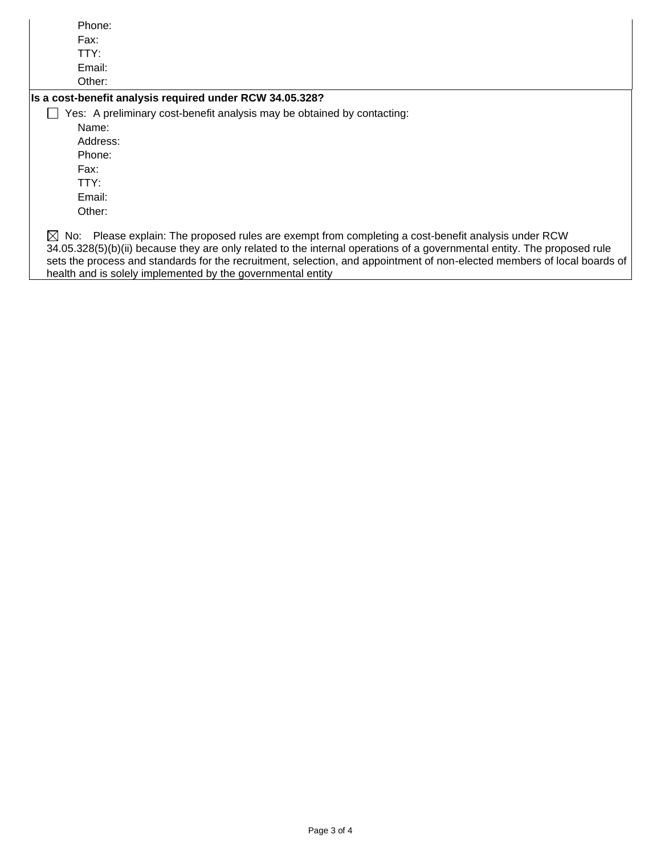| Phone:                                                                                                                                                                                                                                                                                                                                                                                                                                  |
|-----------------------------------------------------------------------------------------------------------------------------------------------------------------------------------------------------------------------------------------------------------------------------------------------------------------------------------------------------------------------------------------------------------------------------------------|
| Fax:                                                                                                                                                                                                                                                                                                                                                                                                                                    |
| TTY:                                                                                                                                                                                                                                                                                                                                                                                                                                    |
| Email:                                                                                                                                                                                                                                                                                                                                                                                                                                  |
| Other:                                                                                                                                                                                                                                                                                                                                                                                                                                  |
| Is a cost-benefit analysis required under RCW 34.05.328?                                                                                                                                                                                                                                                                                                                                                                                |
| Yes: A preliminary cost-benefit analysis may be obtained by contacting:                                                                                                                                                                                                                                                                                                                                                                 |
| Name:                                                                                                                                                                                                                                                                                                                                                                                                                                   |
| Address:                                                                                                                                                                                                                                                                                                                                                                                                                                |
| Phone:                                                                                                                                                                                                                                                                                                                                                                                                                                  |
| Fax:                                                                                                                                                                                                                                                                                                                                                                                                                                    |
| TTY:                                                                                                                                                                                                                                                                                                                                                                                                                                    |
| Email:                                                                                                                                                                                                                                                                                                                                                                                                                                  |
| Other:                                                                                                                                                                                                                                                                                                                                                                                                                                  |
| Please explain: The proposed rules are exempt from completing a cost-benefit analysis under RCW<br>$\bowtie$ No:<br>34.05.328(5)(b)(ii) because they are only related to the internal operations of a governmental entity. The proposed rule<br>sets the process and standards for the recruitment, selection, and appointment of non-elected members of local boards of<br>health and is solely implemented by the governmental entity |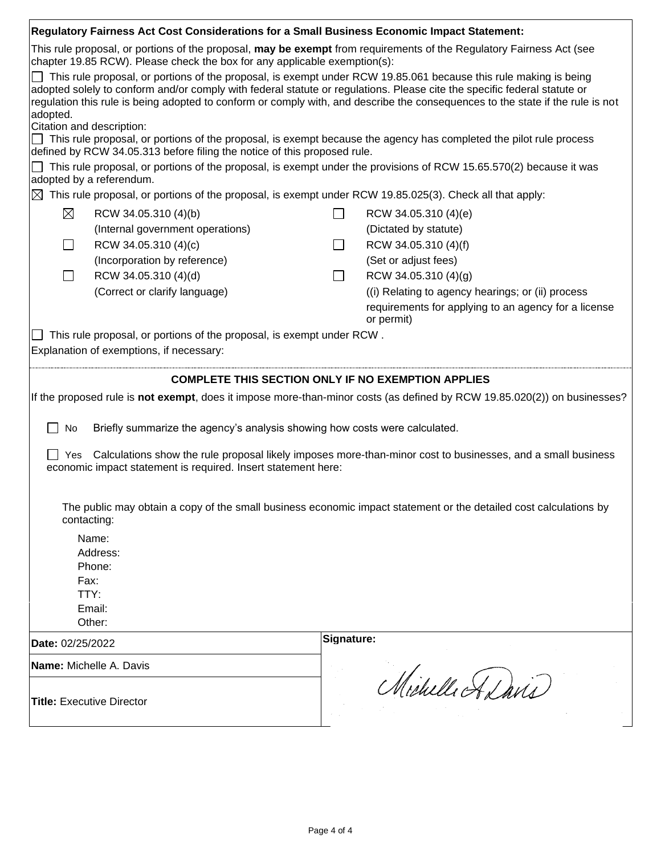|                                                                                                                                                                                                   | Regulatory Fairness Act Cost Considerations for a Small Business Economic Impact Statement: |                 |                                                                                                                                                                                                                                                                                                                                                                                                                                                                                                             |  |  |  |  |
|---------------------------------------------------------------------------------------------------------------------------------------------------------------------------------------------------|---------------------------------------------------------------------------------------------|-----------------|-------------------------------------------------------------------------------------------------------------------------------------------------------------------------------------------------------------------------------------------------------------------------------------------------------------------------------------------------------------------------------------------------------------------------------------------------------------------------------------------------------------|--|--|--|--|
| This rule proposal, or portions of the proposal, may be exempt from requirements of the Regulatory Fairness Act (see<br>chapter 19.85 RCW). Please check the box for any applicable exemption(s): |                                                                                             |                 |                                                                                                                                                                                                                                                                                                                                                                                                                                                                                                             |  |  |  |  |
| adopted.<br>Citation and description:<br>defined by RCW 34.05.313 before filing the notice of this proposed rule.                                                                                 |                                                                                             |                 | $\Box$ This rule proposal, or portions of the proposal, is exempt under RCW 19.85.061 because this rule making is being<br>adopted solely to conform and/or comply with federal statute or regulations. Please cite the specific federal statute or<br>regulation this rule is being adopted to conform or comply with, and describe the consequences to the state if the rule is not<br>This rule proposal, or portions of the proposal, is exempt because the agency has completed the pilot rule process |  |  |  |  |
| This rule proposal, or portions of the proposal, is exempt under the provisions of RCW 15.65.570(2) because it was<br>adopted by a referendum.                                                    |                                                                                             |                 |                                                                                                                                                                                                                                                                                                                                                                                                                                                                                                             |  |  |  |  |
|                                                                                                                                                                                                   |                                                                                             |                 | $\boxtimes$ This rule proposal, or portions of the proposal, is exempt under RCW 19.85.025(3). Check all that apply:                                                                                                                                                                                                                                                                                                                                                                                        |  |  |  |  |
| ⊠<br>RCW 34.05.310 (4)(b)                                                                                                                                                                         |                                                                                             | $\Box$          | RCW 34.05.310 (4)(e)                                                                                                                                                                                                                                                                                                                                                                                                                                                                                        |  |  |  |  |
| (Internal government operations)                                                                                                                                                                  |                                                                                             |                 | (Dictated by statute)                                                                                                                                                                                                                                                                                                                                                                                                                                                                                       |  |  |  |  |
| RCW 34.05.310 (4)(c)<br>$\Box$                                                                                                                                                                    |                                                                                             | $\Box$          | RCW 34.05.310 (4)(f)                                                                                                                                                                                                                                                                                                                                                                                                                                                                                        |  |  |  |  |
| (Incorporation by reference)                                                                                                                                                                      |                                                                                             |                 | (Set or adjust fees)                                                                                                                                                                                                                                                                                                                                                                                                                                                                                        |  |  |  |  |
| RCW 34.05.310 (4)(d)                                                                                                                                                                              |                                                                                             | $\blacksquare$  | RCW 34.05.310 (4)(g)                                                                                                                                                                                                                                                                                                                                                                                                                                                                                        |  |  |  |  |
| (Correct or clarify language)                                                                                                                                                                     |                                                                                             |                 | ((i) Relating to agency hearings; or (ii) process                                                                                                                                                                                                                                                                                                                                                                                                                                                           |  |  |  |  |
|                                                                                                                                                                                                   |                                                                                             |                 | requirements for applying to an agency for a license<br>or permit)                                                                                                                                                                                                                                                                                                                                                                                                                                          |  |  |  |  |
| This rule proposal, or portions of the proposal, is exempt under RCW.                                                                                                                             |                                                                                             |                 |                                                                                                                                                                                                                                                                                                                                                                                                                                                                                                             |  |  |  |  |
| Explanation of exemptions, if necessary:                                                                                                                                                          |                                                                                             |                 |                                                                                                                                                                                                                                                                                                                                                                                                                                                                                                             |  |  |  |  |
|                                                                                                                                                                                                   |                                                                                             |                 |                                                                                                                                                                                                                                                                                                                                                                                                                                                                                                             |  |  |  |  |
|                                                                                                                                                                                                   |                                                                                             |                 | <b>COMPLETE THIS SECTION ONLY IF NO EXEMPTION APPLIES</b>                                                                                                                                                                                                                                                                                                                                                                                                                                                   |  |  |  |  |
|                                                                                                                                                                                                   |                                                                                             |                 | If the proposed rule is not exempt, does it impose more-than-minor costs (as defined by RCW 19.85.020(2)) on businesses?                                                                                                                                                                                                                                                                                                                                                                                    |  |  |  |  |
| No<br>Briefly summarize the agency's analysis showing how costs were calculated.                                                                                                                  |                                                                                             |                 |                                                                                                                                                                                                                                                                                                                                                                                                                                                                                                             |  |  |  |  |
| Calculations show the rule proposal likely imposes more-than-minor cost to businesses, and a small business<br>Yes<br>economic impact statement is required. Insert statement here:               |                                                                                             |                 |                                                                                                                                                                                                                                                                                                                                                                                                                                                                                                             |  |  |  |  |
| The public may obtain a copy of the small business economic impact statement or the detailed cost calculations by<br>contacting:                                                                  |                                                                                             |                 |                                                                                                                                                                                                                                                                                                                                                                                                                                                                                                             |  |  |  |  |
| Name:                                                                                                                                                                                             |                                                                                             |                 |                                                                                                                                                                                                                                                                                                                                                                                                                                                                                                             |  |  |  |  |
| Address:                                                                                                                                                                                          |                                                                                             |                 |                                                                                                                                                                                                                                                                                                                                                                                                                                                                                                             |  |  |  |  |
| Phone:                                                                                                                                                                                            |                                                                                             |                 |                                                                                                                                                                                                                                                                                                                                                                                                                                                                                                             |  |  |  |  |
| Fax:<br>TTY:                                                                                                                                                                                      |                                                                                             |                 |                                                                                                                                                                                                                                                                                                                                                                                                                                                                                                             |  |  |  |  |
| Email:                                                                                                                                                                                            |                                                                                             |                 |                                                                                                                                                                                                                                                                                                                                                                                                                                                                                                             |  |  |  |  |
| Other:                                                                                                                                                                                            |                                                                                             |                 |                                                                                                                                                                                                                                                                                                                                                                                                                                                                                                             |  |  |  |  |
| Date: 02/25/2022                                                                                                                                                                                  |                                                                                             | Signature:      |                                                                                                                                                                                                                                                                                                                                                                                                                                                                                                             |  |  |  |  |
| Name: Michelle A. Davis                                                                                                                                                                           |                                                                                             |                 |                                                                                                                                                                                                                                                                                                                                                                                                                                                                                                             |  |  |  |  |
| <b>Title: Executive Director</b>                                                                                                                                                                  |                                                                                             | Michelle Adavis |                                                                                                                                                                                                                                                                                                                                                                                                                                                                                                             |  |  |  |  |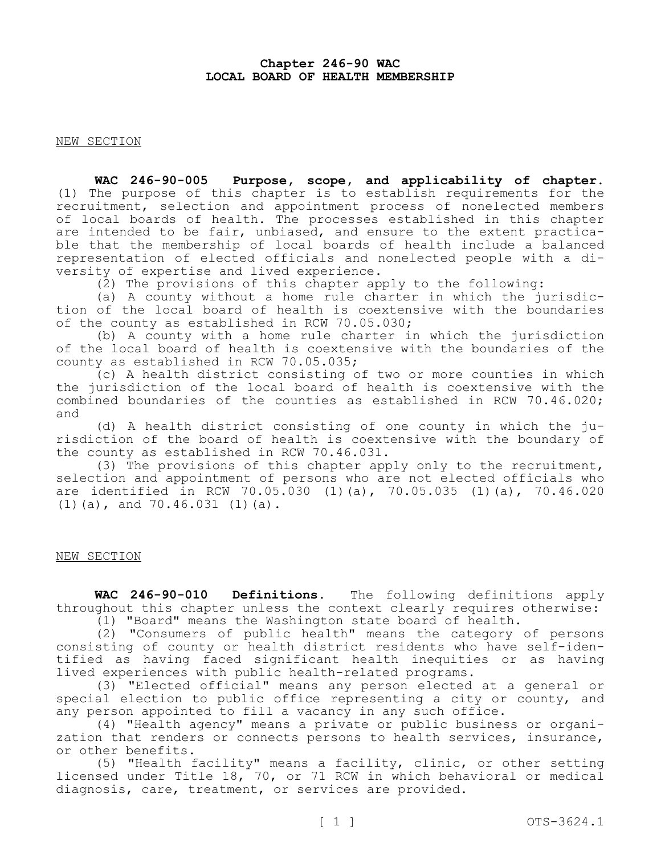# **Chapter 246-90 WAC LOCAL BOARD OF HEALTH MEMBERSHIP**

NEW SECTION

**WAC 246-90-005 Purpose, scope, and applicability of chapter.**  (1) The purpose of this chapter is to establish requirements for the recruitment, selection and appointment process of nonelected members of local boards of health. The processes established in this chapter are intended to be fair, unbiased, and ensure to the extent practicable that the membership of local boards of health include a balanced representation of elected officials and nonelected people with a diversity of expertise and lived experience.

(2) The provisions of this chapter apply to the following:

(a) A county without a home rule charter in which the jurisdiction of the local board of health is coextensive with the boundaries of the county as established in RCW 70.05.030;

(b) A county with a home rule charter in which the jurisdiction of the local board of health is coextensive with the boundaries of the county as established in RCW 70.05.035;

(c) A health district consisting of two or more counties in which the jurisdiction of the local board of health is coextensive with the combined boundaries of the counties as established in RCW 70.46.020; and

(d) A health district consisting of one county in which the jurisdiction of the board of health is coextensive with the boundary of the county as established in RCW 70.46.031.

(3) The provisions of this chapter apply only to the recruitment, selection and appointment of persons who are not elected officials who are identified in RCW 70.05.030 (1)(a), 70.05.035 (1)(a), 70.46.020 (1)(a), and 70.46.031 (1)(a).

# NEW SECTION

**WAC 246-90-010 Definitions.** The following definitions apply throughout this chapter unless the context clearly requires otherwise: (1) "Board" means the Washington state board of health.

(2) "Consumers of public health" means the category of persons consisting of county or health district residents who have self-identified as having faced significant health inequities or as having lived experiences with public health-related programs.

(3) "Elected official" means any person elected at a general or special election to public office representing a city or county, and any person appointed to fill a vacancy in any such office.

(4) "Health agency" means a private or public business or organization that renders or connects persons to health services, insurance, or other benefits.

(5) "Health facility" means a facility, clinic, or other setting licensed under Title 18, 70, or 71 RCW in which behavioral or medical diagnosis, care, treatment, or services are provided.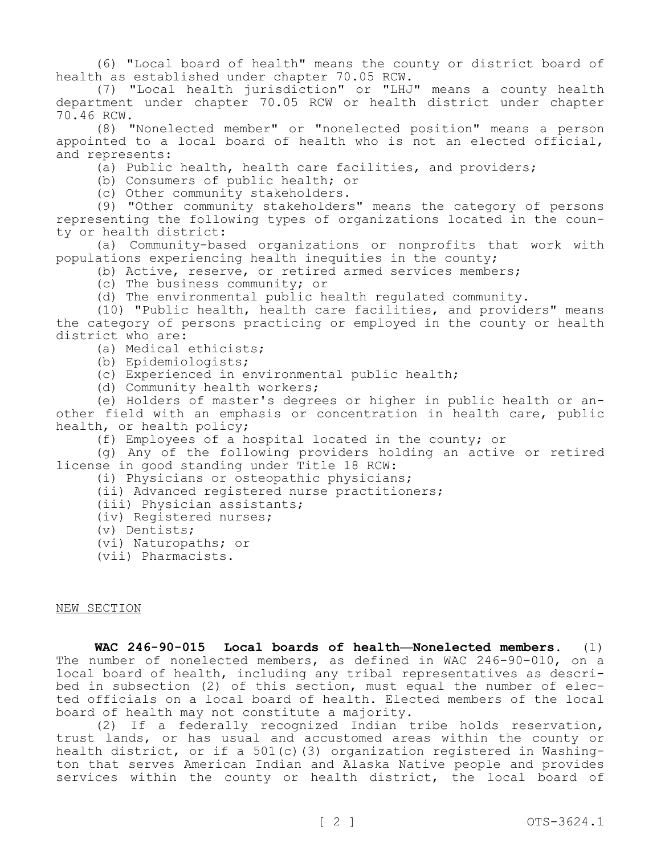(6) "Local board of health" means the county or district board of health as established under chapter 70.05 RCW.

(7) "Local health jurisdiction" or "LHJ" means a county health department under chapter 70.05 RCW or health district under chapter 70.46 RCW.

(8) "Nonelected member" or "nonelected position" means a person appointed to a local board of health who is not an elected official, and represents:

(a) Public health, health care facilities, and providers;

(b) Consumers of public health; or

(c) Other community stakeholders.

(9) "Other community stakeholders" means the category of persons representing the following types of organizations located in the county or health district:

(a) Community-based organizations or nonprofits that work with populations experiencing health inequities in the county;

(b) Active, reserve, or retired armed services members;

(c) The business community; or

(d) The environmental public health regulated community.

(10) "Public health, health care facilities, and providers" means the category of persons practicing or employed in the county or health district who are:

(a) Medical ethicists;

(b) Epidemiologists;

(c) Experienced in environmental public health;

(d) Community health workers;

(e) Holders of master's degrees or higher in public health or another field with an emphasis or concentration in health care, public health, or health policy;

(f) Employees of a hospital located in the county; or

(g) Any of the following providers holding an active or retired license in good standing under Title 18 RCW:

(i) Physicians or osteopathic physicians;

(ii) Advanced registered nurse practitioners;

(iii) Physician assistants;

(iv) Registered nurses;

(v) Dentists;

(vi) Naturopaths; or

(vii) Pharmacists.

NEW SECTION

**WAC 246-90-015 Local boards of health—Nonelected members.** (1) The number of nonelected members, as defined in WAC 246-90-010, on a local board of health, including any tribal representatives as described in subsection (2) of this section, must equal the number of elected officials on a local board of health. Elected members of the local board of health may not constitute a majority.

(2) If a federally recognized Indian tribe holds reservation, trust lands, or has usual and accustomed areas within the county or health district, or if a 501(c)(3) organization registered in Washington that serves American Indian and Alaska Native people and provides services within the county or health district, the local board of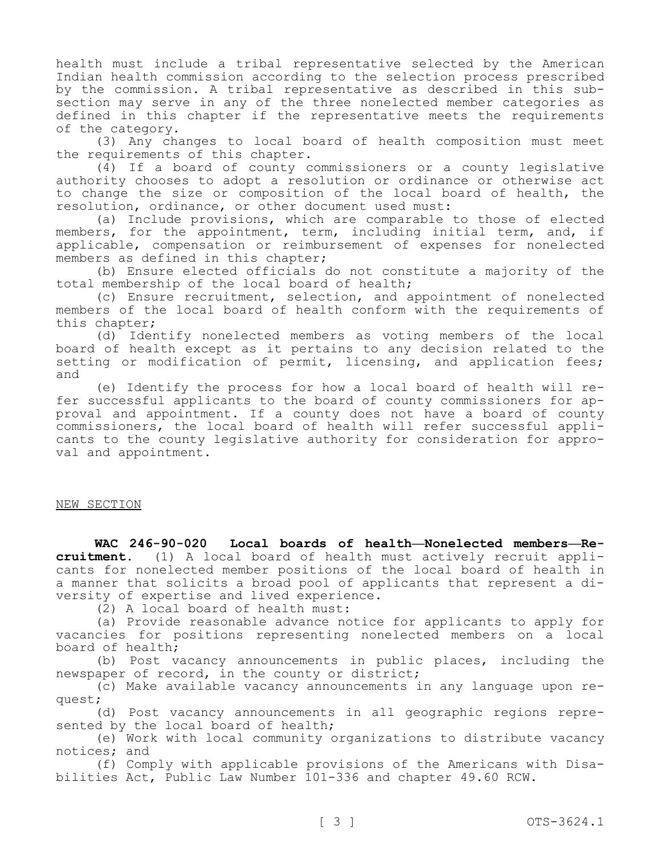health must include a tribal representative selected by the American Indian health commission according to the selection process prescribed by the commission. A tribal representative as described in this subsection may serve in any of the three nonelected member categories as defined in this chapter if the representative meets the requirements of the category.

(3) Any changes to local board of health composition must meet the requirements of this chapter.

(4) If a board of county commissioners or a county legislative authority chooses to adopt a resolution or ordinance or otherwise act to change the size or composition of the local board of health, the resolution, ordinance, or other document used must:

(a) Include provisions, which are comparable to those of elected members, for the appointment, term, including initial term, and, if applicable, compensation or reimbursement of expenses for nonelected members as defined in this chapter;

(b) Ensure elected officials do not constitute a majority of the total membership of the local board of health;

(c) Ensure recruitment, selection, and appointment of nonelected members of the local board of health conform with the requirements of this chapter;

(d) Identify nonelected members as voting members of the local board of health except as it pertains to any decision related to the setting or modification of permit, licensing, and application fees; and

(e) Identify the process for how a local board of health will refer successful applicants to the board of county commissioners for approval and appointment. If a county does not have a board of county commissioners, the local board of health will refer successful applicants to the county legislative authority for consideration for approval and appointment.

## NEW SECTION

**WAC 246-90-020 Local boards of health—Nonelected members—Recruitment.** (1) A local board of health must actively recruit applicants for nonelected member positions of the local board of health in a manner that solicits a broad pool of applicants that represent a diversity of expertise and lived experience.

(2) A local board of health must:

(a) Provide reasonable advance notice for applicants to apply for vacancies for positions representing nonelected members on a local board of health;

(b) Post vacancy announcements in public places, including the newspaper of record, in the county or district;

(c) Make available vacancy announcements in any language upon request;

(d) Post vacancy announcements in all geographic regions represented by the local board of health;

(e) Work with local community organizations to distribute vacancy notices; and

(f) Comply with applicable provisions of the Americans with Disabilities Act, Public Law Number 101-336 and chapter 49.60 RCW.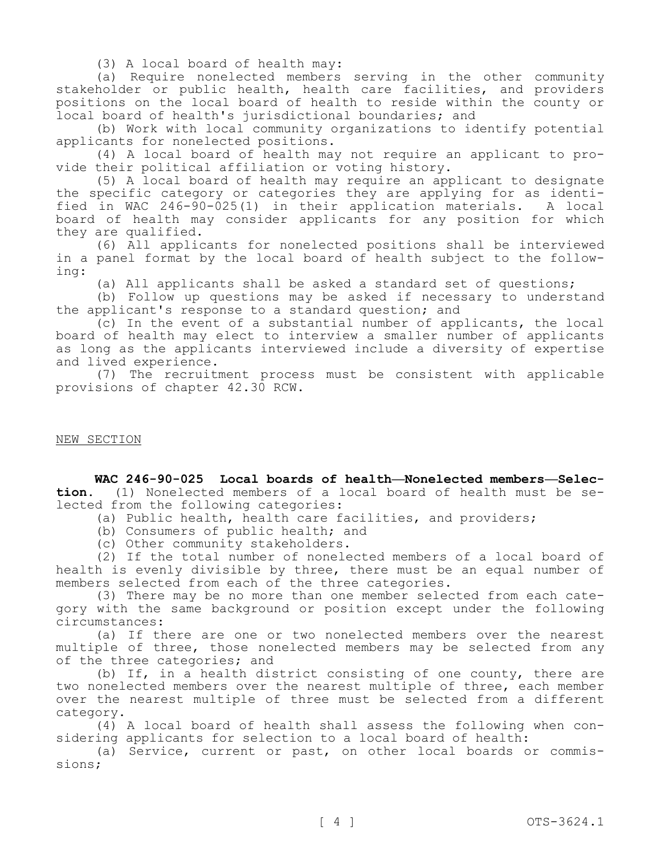(3) A local board of health may:

(a) Require nonelected members serving in the other community stakeholder or public health, health care facilities, and providers positions on the local board of health to reside within the county or local board of health's jurisdictional boundaries; and

(b) Work with local community organizations to identify potential applicants for nonelected positions.

(4) A local board of health may not require an applicant to provide their political affiliation or voting history.

(5) A local board of health may require an applicant to designate the specific category or categories they are applying for as identified in WAC 246-90-025(1) in their application materials. A local board of health may consider applicants for any position for which they are qualified.

(6) All applicants for nonelected positions shall be interviewed in a panel format by the local board of health subject to the following:

(a) All applicants shall be asked a standard set of questions;

(b) Follow up questions may be asked if necessary to understand the applicant's response to a standard question; and

(c) In the event of a substantial number of applicants, the local board of health may elect to interview a smaller number of applicants as long as the applicants interviewed include a diversity of expertise and lived experience.

(7) The recruitment process must be consistent with applicable provisions of chapter 42.30 RCW.

NEW SECTION

**WAC 246-90-025 Local boards of health—Nonelected members—Selection.** (1) Nonelected members of a local board of health must be selected from the following categories:

(a) Public health, health care facilities, and providers;

(b) Consumers of public health; and

(c) Other community stakeholders.

(2) If the total number of nonelected members of a local board of health is evenly divisible by three, there must be an equal number of members selected from each of the three categories.

(3) There may be no more than one member selected from each category with the same background or position except under the following circumstances:

(a) If there are one or two nonelected members over the nearest multiple of three, those nonelected members may be selected from any of the three categories; and

(b) If, in a health district consisting of one county, there are two nonelected members over the nearest multiple of three, each member over the nearest multiple of three must be selected from a different category.

(4) A local board of health shall assess the following when considering applicants for selection to a local board of health:

(a) Service, current or past, on other local boards or commissions;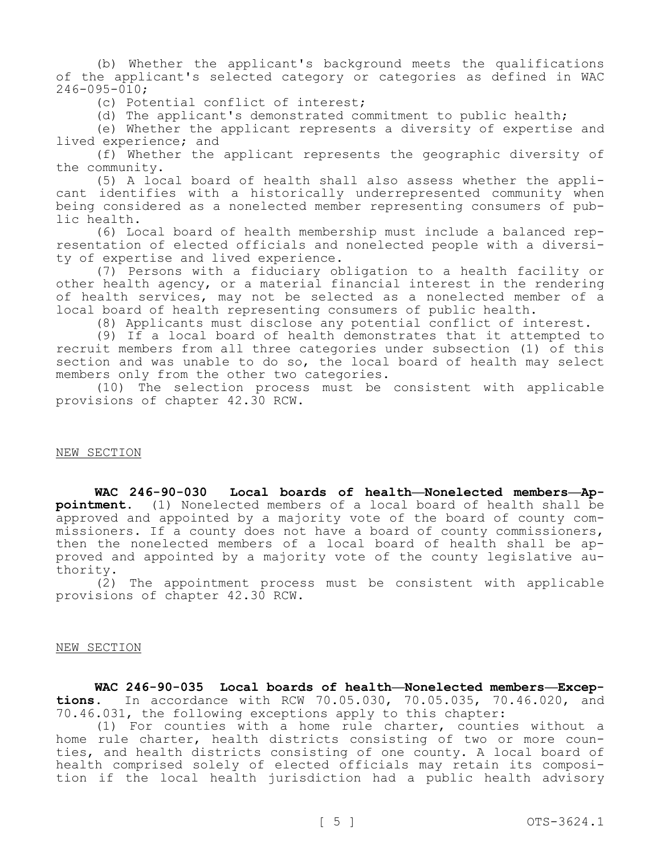(b) Whether the applicant's background meets the qualifications of the applicant's selected category or categories as defined in WAC  $246 - 095 - 010$ ;

(c) Potential conflict of interest;

(d) The applicant's demonstrated commitment to public health;

(e) Whether the applicant represents a diversity of expertise and lived experience; and

(f) Whether the applicant represents the geographic diversity of the community.

(5) A local board of health shall also assess whether the applicant identifies with a historically underrepresented community when being considered as a nonelected member representing consumers of public health.

(6) Local board of health membership must include a balanced representation of elected officials and nonelected people with a diversity of expertise and lived experience.

(7) Persons with a fiduciary obligation to a health facility or other health agency, or a material financial interest in the rendering of health services, may not be selected as a nonelected member of a local board of health representing consumers of public health.

(8) Applicants must disclose any potential conflict of interest.

(9) If a local board of health demonstrates that it attempted to recruit members from all three categories under subsection (1) of this section and was unable to do so, the local board of health may select members only from the other two categories.

(10) The selection process must be consistent with applicable provisions of chapter 42.30 RCW.

#### NEW SECTION

**WAC 246-90-030 Local boards of health—Nonelected members—Appointment.** (1) Nonelected members of a local board of health shall be approved and appointed by a majority vote of the board of county commissioners. If a county does not have a board of county commissioners, then the nonelected members of a local board of health shall be approved and appointed by a majority vote of the county legislative authority.

(2) The appointment process must be consistent with applicable provisions of chapter 42.30 RCW.

### NEW SECTION

**WAC 246-90-035 Local boards of health—Nonelected members—Exceptions.** In accordance with RCW 70.05.030, 70.05.035, 70.46.020, and 70.46.031, the following exceptions apply to this chapter:

(1) For counties with a home rule charter, counties without a home rule charter, health districts consisting of two or more counties, and health districts consisting of one county. A local board of health comprised solely of elected officials may retain its composition if the local health jurisdiction had a public health advisory